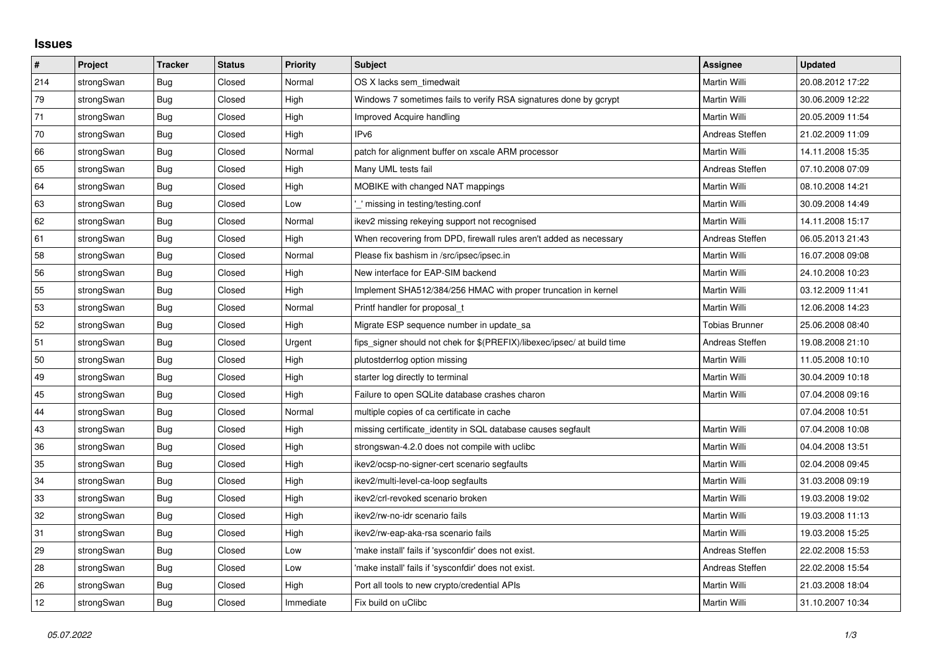## **Issues**

| $\vert$ # | Project    | <b>Tracker</b> | <b>Status</b> | Priority  | <b>Subject</b>                                                          | <b>Assignee</b>       | <b>Updated</b>   |
|-----------|------------|----------------|---------------|-----------|-------------------------------------------------------------------------|-----------------------|------------------|
| 214       | strongSwan | Bug            | Closed        | Normal    | OS X lacks sem timedwait                                                | Martin Willi          | 20.08.2012 17:22 |
| 79        | strongSwan | <b>Bug</b>     | Closed        | High      | Windows 7 sometimes fails to verify RSA signatures done by gcrypt       | Martin Willi          | 30.06.2009 12:22 |
| 71        | strongSwan | Bug            | Closed        | High      | <b>Improved Acquire handling</b>                                        | Martin Willi          | 20.05.2009 11:54 |
| 70        | strongSwan | <b>Bug</b>     | Closed        | High      | IP <sub>v6</sub>                                                        | Andreas Steffen       | 21.02.2009 11:09 |
| 66        | strongSwan | <b>Bug</b>     | Closed        | Normal    | patch for alignment buffer on xscale ARM processor                      | Martin Willi          | 14.11.2008 15:35 |
| 65        | strongSwan | Bug            | Closed        | High      | Many UML tests fail                                                     | Andreas Steffen       | 07.10.2008 07:09 |
| 64        | strongSwan | <b>Bug</b>     | Closed        | High      | MOBIKE with changed NAT mappings                                        | <b>Martin Willi</b>   | 08.10.2008 14:21 |
| 63        | strongSwan | Bug            | Closed        | Low       | missing in testing/testing.conf                                         | Martin Willi          | 30.09.2008 14:49 |
| 62        | strongSwan | <b>Bug</b>     | Closed        | Normal    | ikev2 missing rekeying support not recognised                           | Martin Willi          | 14.11.2008 15:17 |
| 61        | strongSwan | <b>Bug</b>     | Closed        | High      | When recovering from DPD, firewall rules aren't added as necessary      | Andreas Steffen       | 06.05.2013 21:43 |
| 58        | strongSwan | Bug            | Closed        | Normal    | Please fix bashism in /src/ipsec/ipsec.in                               | Martin Willi          | 16.07.2008 09:08 |
| 56        | strongSwan | Bug            | Closed        | High      | New interface for EAP-SIM backend                                       | Martin Willi          | 24.10.2008 10:23 |
| 55        | strongSwan | <b>Bug</b>     | Closed        | High      | Implement SHA512/384/256 HMAC with proper truncation in kernel          | <b>Martin Willi</b>   | 03.12.2009 11:41 |
| 53        | strongSwan | Bug            | Closed        | Normal    | Printf handler for proposal t                                           | Martin Willi          | 12.06.2008 14:23 |
| 52        | strongSwan | <b>Bug</b>     | Closed        | High      | Migrate ESP sequence number in update sa                                | <b>Tobias Brunner</b> | 25.06.2008 08:40 |
| 51        | strongSwan | <b>Bug</b>     | Closed        | Urgent    | fips_signer should not chek for \$(PREFIX)/libexec/ipsec/ at build time | Andreas Steffen       | 19.08.2008 21:10 |
| 50        | strongSwan | Bug            | Closed        | High      | plutostderrlog option missing                                           | Martin Willi          | 11.05.2008 10:10 |
| 49        | strongSwan | Bug            | Closed        | High      | starter log directly to terminal                                        | Martin Willi          | 30.04.2009 10:18 |
| 45        | strongSwan | Bug            | Closed        | High      | Failure to open SQLite database crashes charon                          | Martin Willi          | 07.04.2008 09:16 |
| 44        | strongSwan | Bug            | Closed        | Normal    | multiple copies of ca certificate in cache                              |                       | 07.04.2008 10:51 |
| 43        | strongSwan | <b>Bug</b>     | Closed        | High      | missing certificate identity in SQL database causes segfault            | Martin Willi          | 07.04.2008 10:08 |
| 36        | strongSwan | Bug            | Closed        | High      | strongswan-4.2.0 does not compile with uclibe                           | Martin Willi          | 04.04.2008 13:51 |
| 35        | strongSwan | Bug            | Closed        | High      | ikev2/ocsp-no-signer-cert scenario segfaults                            | Martin Willi          | 02.04.2008 09:45 |
| 34        | strongSwan | Bug            | Closed        | High      | ikev2/multi-level-ca-loop segfaults                                     | Martin Willi          | 31.03.2008 09:19 |
| 33        | strongSwan | <b>Bug</b>     | Closed        | High      | ikev2/crl-revoked scenario broken                                       | Martin Willi          | 19.03.2008 19:02 |
| 32        | strongSwan | Bug            | Closed        | High      | ikev2/rw-no-idr scenario fails                                          | Martin Willi          | 19.03.2008 11:13 |
| 31        | strongSwan | Bug            | Closed        | High      | ikev2/rw-eap-aka-rsa scenario fails                                     | Martin Willi          | 19.03.2008 15:25 |
| 29        | strongSwan | Bug            | Closed        | Low       | 'make install' fails if 'sysconfdir' does not exist.                    | Andreas Steffen       | 22.02.2008 15:53 |
| 28        | strongSwan | Bug            | Closed        | Low       | 'make install' fails if 'sysconfdir' does not exist.                    | Andreas Steffen       | 22.02.2008 15:54 |
| 26        | strongSwan | Bug            | Closed        | High      | Port all tools to new crypto/credential APIs                            | Martin Willi          | 21.03.2008 18:04 |
| 12        | strongSwan | Bug            | Closed        | Immediate | Fix build on uClibc                                                     | Martin Willi          | 31.10.2007 10:34 |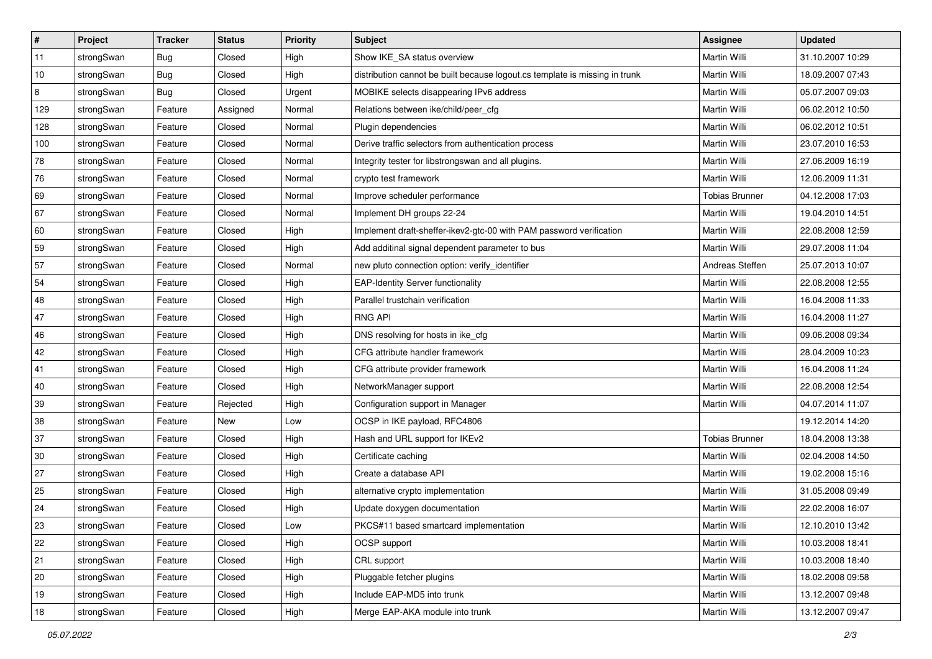| $\vert$ # | Project    | <b>Tracker</b> | <b>Status</b> | <b>Priority</b> | <b>Subject</b>                                                              | Assignee              | <b>Updated</b>   |
|-----------|------------|----------------|---------------|-----------------|-----------------------------------------------------------------------------|-----------------------|------------------|
| 11        | strongSwan | Bug            | Closed        | High            | Show IKE_SA status overview                                                 | Martin Willi          | 31.10.2007 10:29 |
| 10        | strongSwan | Bug            | Closed        | High            | distribution cannot be built because logout.cs template is missing in trunk | Martin Willi          | 18.09.2007 07:43 |
| 8         | strongSwan | <b>Bug</b>     | Closed        | Urgent          | MOBIKE selects disappearing IPv6 address                                    | Martin Willi          | 05.07.2007 09:03 |
| 129       | strongSwan | Feature        | Assigned      | Normal          | Relations between ike/child/peer_cfg                                        | Martin Willi          | 06.02.2012 10:50 |
| 128       | strongSwan | Feature        | Closed        | Normal          | Plugin dependencies                                                         | Martin Willi          | 06.02.2012 10:51 |
| 100       | strongSwan | Feature        | Closed        | Normal          | Derive traffic selectors from authentication process                        | Martin Willi          | 23.07.2010 16:53 |
| 78        | strongSwan | Feature        | Closed        | Normal          | Integrity tester for libstrongswan and all plugins.                         | Martin Willi          | 27.06.2009 16:19 |
| 76        | strongSwan | Feature        | Closed        | Normal          | crypto test framework                                                       | Martin Willi          | 12.06.2009 11:31 |
| 69        | strongSwan | Feature        | Closed        | Normal          | Improve scheduler performance                                               | <b>Tobias Brunner</b> | 04.12.2008 17:03 |
| 67        | strongSwan | Feature        | Closed        | Normal          | Implement DH groups 22-24                                                   | Martin Willi          | 19.04.2010 14:51 |
| 60        | strongSwan | Feature        | Closed        | High            | Implement draft-sheffer-ikev2-gtc-00 with PAM password verification         | Martin Willi          | 22.08.2008 12:59 |
| 59        | strongSwan | Feature        | Closed        | High            | Add additinal signal dependent parameter to bus                             | Martin Willi          | 29.07.2008 11:04 |
| 57        | strongSwan | Feature        | Closed        | Normal          | new pluto connection option: verify_identifier                              | Andreas Steffen       | 25.07.2013 10:07 |
| 54        | strongSwan | Feature        | Closed        | High            | <b>EAP-Identity Server functionality</b>                                    | Martin Willi          | 22.08.2008 12:55 |
| 48        | strongSwan | Feature        | Closed        | High            | Parallel trustchain verification                                            | <b>Martin Willi</b>   | 16.04.2008 11:33 |
| 47        | strongSwan | Feature        | Closed        | High            | <b>RNG API</b>                                                              | Martin Willi          | 16.04.2008 11:27 |
| 46        | strongSwan | Feature        | Closed        | High            | DNS resolving for hosts in ike_cfg                                          | <b>Martin Willi</b>   | 09.06.2008 09:34 |
| 42        | strongSwan | Feature        | Closed        | High            | CFG attribute handler framework                                             | Martin Willi          | 28.04.2009 10:23 |
| 41        | strongSwan | Feature        | Closed        | High            | CFG attribute provider framework                                            | Martin Willi          | 16.04.2008 11:24 |
| 40        | strongSwan | Feature        | Closed        | High            | NetworkManager support                                                      | Martin Willi          | 22.08.2008 12:54 |
| 39        | strongSwan | Feature        | Rejected      | High            | Configuration support in Manager                                            | Martin Willi          | 04.07.2014 11:07 |
| 38        | strongSwan | Feature        | New           | Low             | OCSP in IKE payload, RFC4806                                                |                       | 19.12.2014 14:20 |
| 37        | strongSwan | Feature        | Closed        | High            | Hash and URL support for IKEv2                                              | <b>Tobias Brunner</b> | 18.04.2008 13:38 |
| 30        | strongSwan | Feature        | Closed        | High            | Certificate caching                                                         | Martin Willi          | 02.04.2008 14:50 |
| 27        | strongSwan | Feature        | Closed        | High            | Create a database API                                                       | Martin Willi          | 19.02.2008 15:16 |
| 25        | strongSwan | Feature        | Closed        | High            | alternative crypto implementation                                           | Martin Willi          | 31.05.2008 09:49 |
| 24        | strongSwan | Feature        | Closed        | High            | Update doxygen documentation                                                | Martin Willi          | 22.02.2008 16:07 |
| 23        | strongSwan | Feature        | Closed        | Low             | PKCS#11 based smartcard implementation                                      | Martin Willi          | 12.10.2010 13:42 |
| 22        | strongSwan | Feature        | Closed        | High            | OCSP support                                                                | Martin Willi          | 10.03.2008 18:41 |
| 21        | strongSwan | Feature        | Closed        | High            | CRL support                                                                 | Martin Willi          | 10.03.2008 18:40 |
| 20        | strongSwan | Feature        | Closed        | High            | Pluggable fetcher plugins                                                   | Martin Willi          | 18.02.2008 09:58 |
| 19        | strongSwan | Feature        | Closed        | High            | Include EAP-MD5 into trunk                                                  | Martin Willi          | 13.12.2007 09:48 |
| 18        | strongSwan | Feature        | Closed        | High            | Merge EAP-AKA module into trunk                                             | Martin Willi          | 13.12.2007 09:47 |